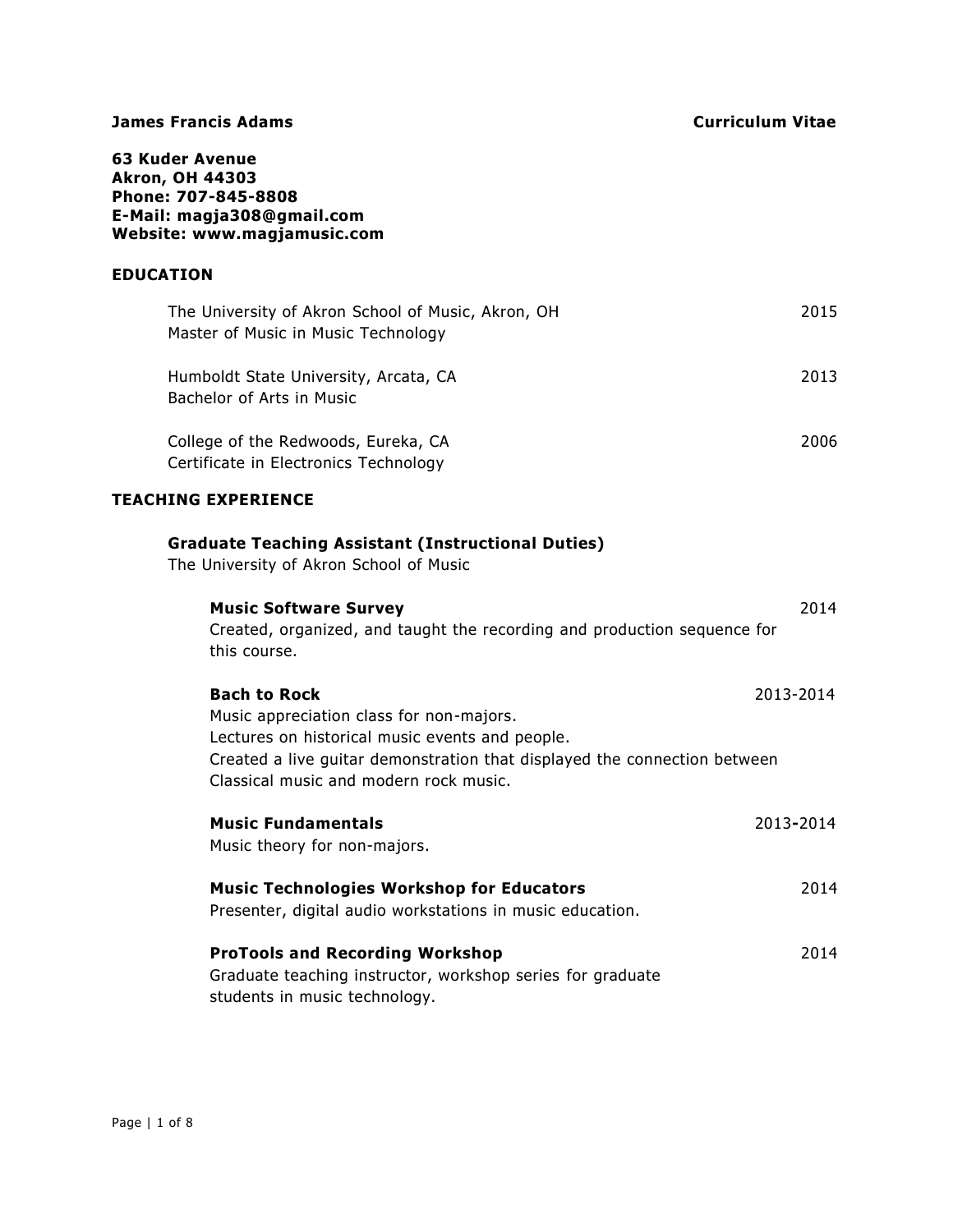**63 Kuder Avenue Akron, OH 44303 Phone: 707-845-8808 E-Mail: [magja308@gmail.com](mailto:magja308@gmail.com) Website: [www.magjamusic.com](http://www.magjamusic.com/)**

## **EDUCATION**

| The University of Akron School of Music, Akron, OH<br>Master of Music in Music Technology | 2015 |
|-------------------------------------------------------------------------------------------|------|
| Humboldt State University, Arcata, CA<br>Bachelor of Arts in Music                        | 2013 |
| College of the Redwoods, Eureka, CA<br>Certificate in Electronics Technology              | 2006 |

# **TEACHING EXPERIENCE**

| <b>Graduate Teaching Assistant (Instructional Duties)</b><br>The University of Akron School of Music                                                                                                                                      |           |
|-------------------------------------------------------------------------------------------------------------------------------------------------------------------------------------------------------------------------------------------|-----------|
| <b>Music Software Survey</b><br>Created, organized, and taught the recording and production sequence for<br>this course.                                                                                                                  | 2014      |
| <b>Bach to Rock</b><br>Music appreciation class for non-majors.<br>Lectures on historical music events and people.<br>Created a live guitar demonstration that displayed the connection between<br>Classical music and modern rock music. | 2013-2014 |
| <b>Music Fundamentals</b><br>Music theory for non-majors.                                                                                                                                                                                 | 2013-2014 |
| <b>Music Technologies Workshop for Educators</b><br>Presenter, digital audio workstations in music education.                                                                                                                             | 2014      |
| <b>ProTools and Recording Workshop</b><br>Graduate teaching instructor, workshop series for graduate<br>students in music technology.                                                                                                     | 2014      |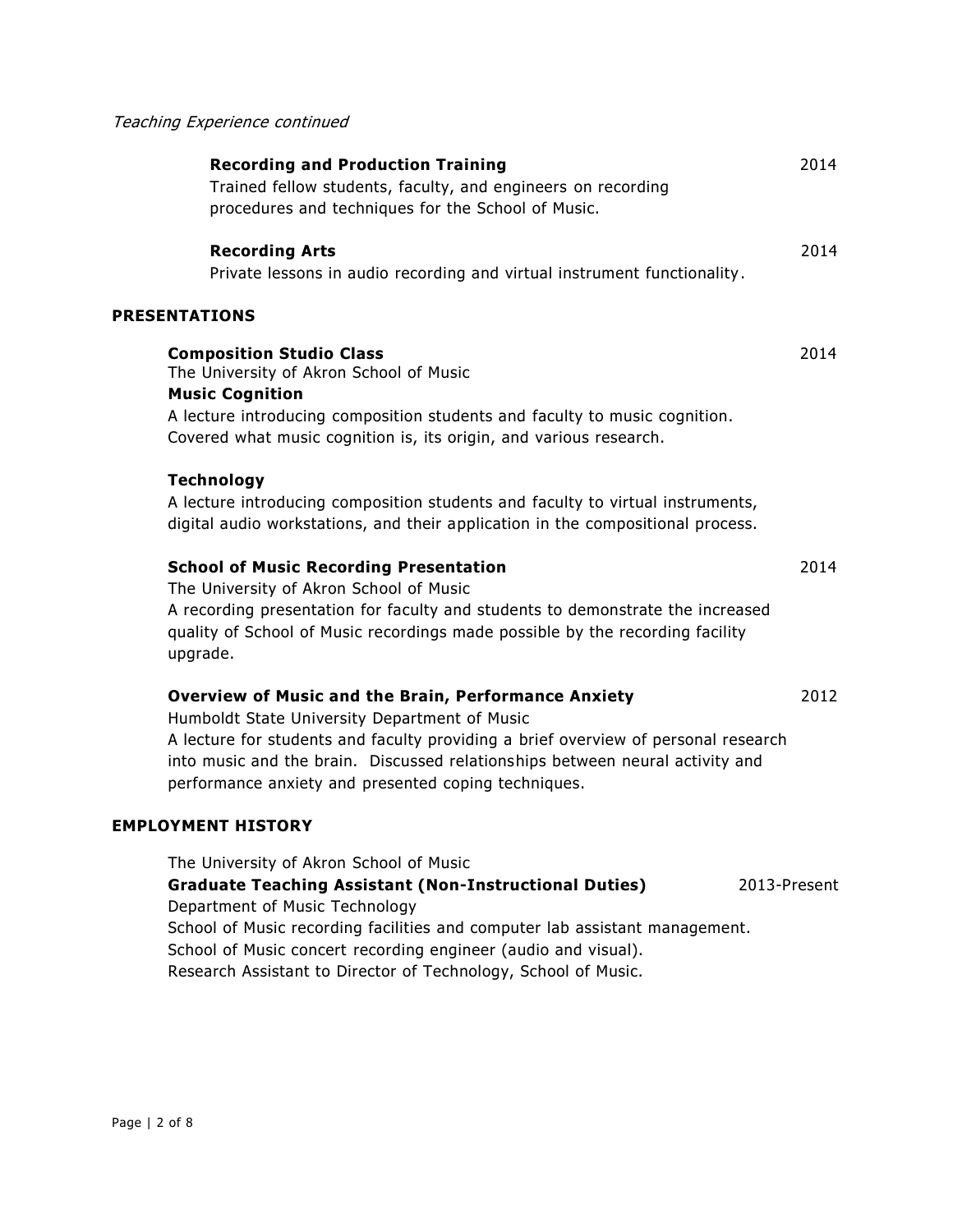# Teaching Experience continued

| <b>Recording and Production Training</b><br>Trained fellow students, faculty, and engineers on recording<br>procedures and techniques for the School of Music.                                                                                                                                                                              | 2014 |
|---------------------------------------------------------------------------------------------------------------------------------------------------------------------------------------------------------------------------------------------------------------------------------------------------------------------------------------------|------|
| <b>Recording Arts</b><br>Private lessons in audio recording and virtual instrument functionality.                                                                                                                                                                                                                                           | 2014 |
| <b>PRESENTATIONS</b>                                                                                                                                                                                                                                                                                                                        |      |
| <b>Composition Studio Class</b><br>The University of Akron School of Music<br><b>Music Cognition</b><br>A lecture introducing composition students and faculty to music cognition.                                                                                                                                                          | 2014 |
| Covered what music cognition is, its origin, and various research.                                                                                                                                                                                                                                                                          |      |
| <b>Technology</b><br>A lecture introducing composition students and faculty to virtual instruments,<br>digital audio workstations, and their application in the compositional process.                                                                                                                                                      |      |
| <b>School of Music Recording Presentation</b><br>The University of Akron School of Music<br>A recording presentation for faculty and students to demonstrate the increased<br>quality of School of Music recordings made possible by the recording facility<br>upgrade.                                                                     | 2014 |
| <b>Overview of Music and the Brain, Performance Anxiety</b><br>Humboldt State University Department of Music<br>A lecture for students and faculty providing a brief overview of personal research<br>into music and the brain. Discussed relationships between neural activity and<br>performance anxiety and presented coping techniques. | 2012 |
| <b>EMPLOYMENT HISTORY</b>                                                                                                                                                                                                                                                                                                                   |      |
| The University of Akron School of Music<br><b>Graduate Teaching Assistant (Non-Instructional Duties)</b><br>2013-Present<br>Department of Music Technology<br>School of Music recording facilities and computer lab assistant management.<br>School of Music concert recording engineer (audio and visual).                                 |      |

Research Assistant to Director of Technology, School of Music.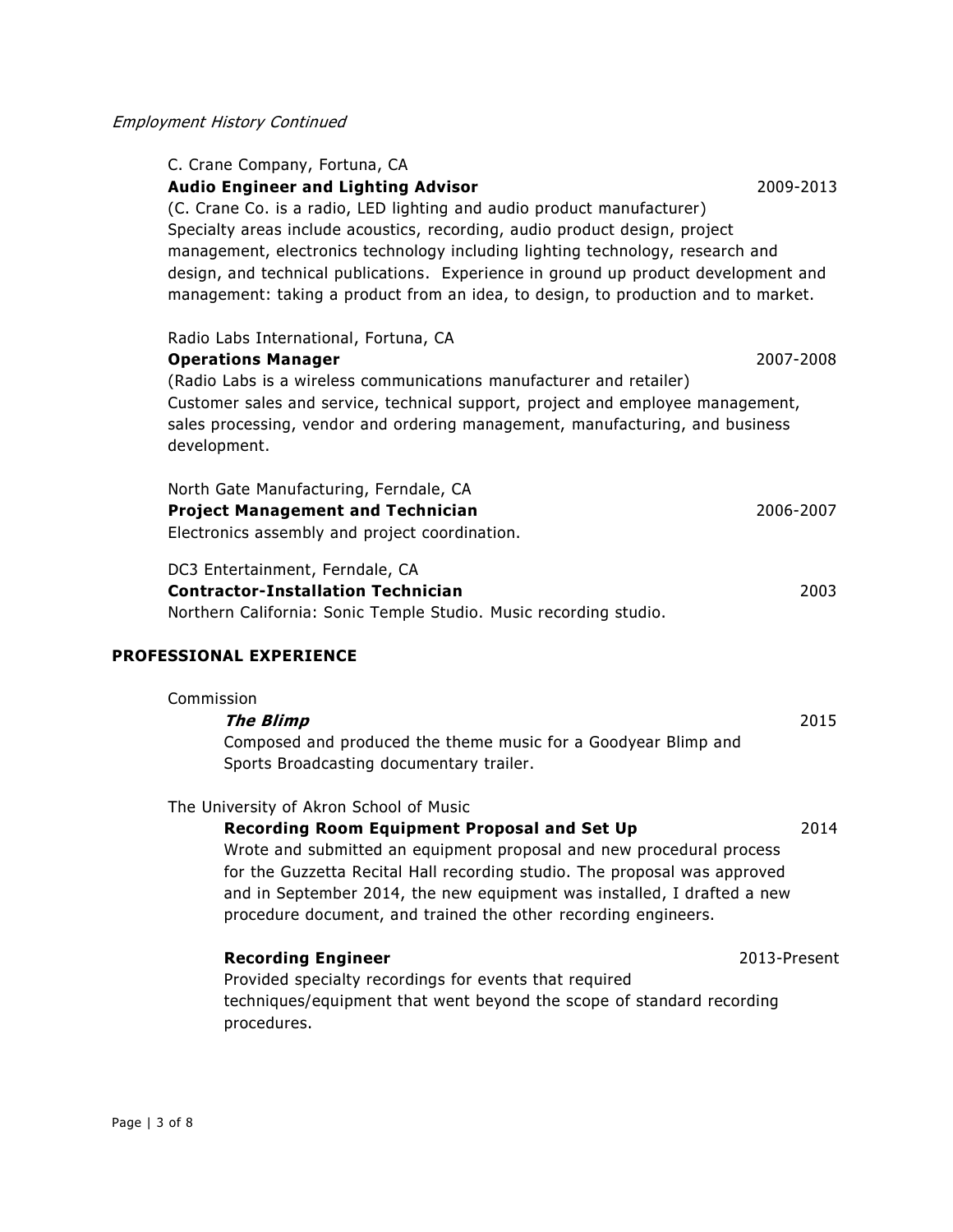| C. Crane Company, Fortuna, CA                                                        |              |
|--------------------------------------------------------------------------------------|--------------|
| <b>Audio Engineer and Lighting Advisor</b>                                           | 2009-2013    |
| (C. Crane Co. is a radio, LED lighting and audio product manufacturer)               |              |
| Specialty areas include acoustics, recording, audio product design, project          |              |
| management, electronics technology including lighting technology, research and       |              |
| design, and technical publications. Experience in ground up product development and  |              |
| management: taking a product from an idea, to design, to production and to market.   |              |
|                                                                                      |              |
| Radio Labs International, Fortuna, CA                                                |              |
| <b>Operations Manager</b>                                                            | 2007-2008    |
| (Radio Labs is a wireless communications manufacturer and retailer)                  |              |
| Customer sales and service, technical support, project and employee management,      |              |
| sales processing, vendor and ordering management, manufacturing, and business        |              |
| development.                                                                         |              |
| North Gate Manufacturing, Ferndale, CA                                               |              |
| <b>Project Management and Technician</b>                                             | 2006-2007    |
| Electronics assembly and project coordination.                                       |              |
|                                                                                      |              |
| DC3 Entertainment, Ferndale, CA                                                      |              |
| <b>Contractor-Installation Technician</b>                                            | 2003         |
| Northern California: Sonic Temple Studio. Music recording studio.                    |              |
| PROFESSIONAL EXPERIENCE                                                              |              |
| Commission                                                                           |              |
| <b>The Blimp</b>                                                                     | 2015         |
| Composed and produced the theme music for a Goodyear Blimp and                       |              |
| Sports Broadcasting documentary trailer.                                             |              |
|                                                                                      |              |
| The University of Akron School of Music                                              |              |
| Recording Room Equipment Proposal and Set Up                                         | 2014         |
|                                                                                      |              |
| Wrote and submitted an equipment proposal and new procedural process                 |              |
| for the Guzzetta Recital Hall recording studio. The proposal was approved            |              |
| and in September 2014, the new equipment was installed, I drafted a new              |              |
| procedure document, and trained the other recording engineers.                       |              |
|                                                                                      |              |
| <b>Recording Engineer</b>                                                            | 2013-Present |
| Provided specialty recordings for events that required                               |              |
| techniques/equipment that went beyond the scope of standard recording<br>procedures. |              |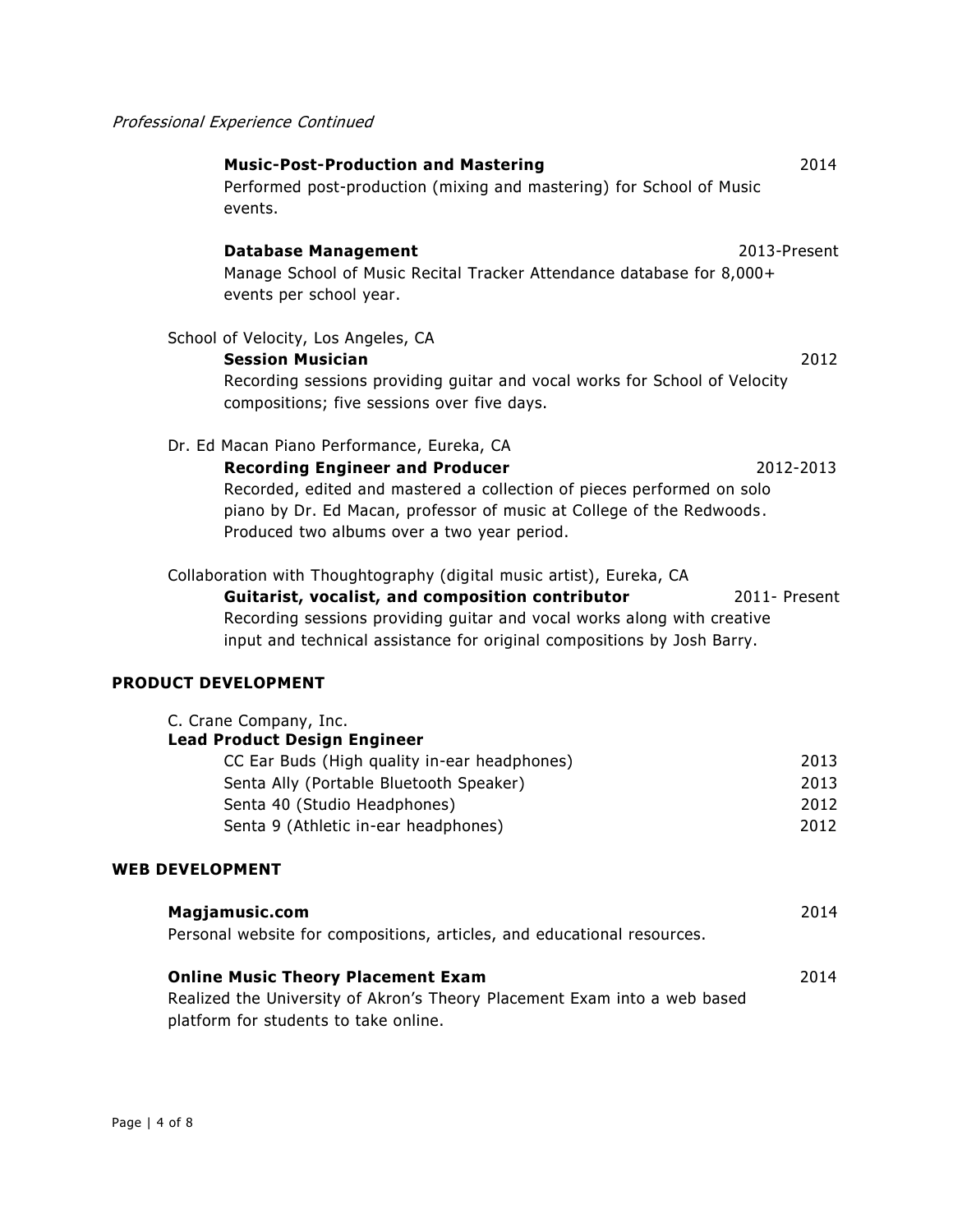| <b>Music-Post-Production and Mastering</b> | 2014 |
|--------------------------------------------|------|
|--------------------------------------------|------|

Performed post-production (mixing and mastering) for School of Music events.

# **Database Management** 2013-Present

Manage School of Music Recital Tracker Attendance database for 8,000+ events per school year.

#### School of Velocity, Los Angeles, CA

**Session Musician** 2012 Recording sessions providing guitar and vocal works for School of Velocity compositions; five sessions over five days.

#### Dr. Ed Macan Piano Performance, Eureka, CA

**Recording Engineer and Producer** 2012-2013 Recorded, edited and mastered a collection of pieces performed on solo piano by Dr. Ed Macan, professor of music at College of the Redwoods . Produced two albums over a two year period.

Collaboration with Thoughtography (digital music artist), Eureka, CA **Guitarist, vocalist, and composition contributor** 2011- Present Recording sessions providing guitar and vocal works along with creative input and technical assistance for original compositions by Josh Barry.

#### **PRODUCT DEVELOPMENT**

| C. Crane Company, Inc.                       |      |
|----------------------------------------------|------|
| <b>Lead Product Design Engineer</b>          |      |
| CC Ear Buds (High quality in-ear headphones) | 2013 |
| Senta Ally (Portable Bluetooth Speaker)      | 2013 |
| Senta 40 (Studio Headphones)                 | 2012 |
| Senta 9 (Athletic in-ear headphones)         | 2012 |
|                                              |      |

#### **WEB DEVELOPMENT**

| Magjamusic.com<br>Personal website for compositions, articles, and educational resources. | 2014 |
|-------------------------------------------------------------------------------------------|------|
| <b>Online Music Theory Placement Exam</b>                                                 | 2014 |
| Realized the University of Akron's Theory Placement Exam into a web based                 |      |
| platform for students to take online.                                                     |      |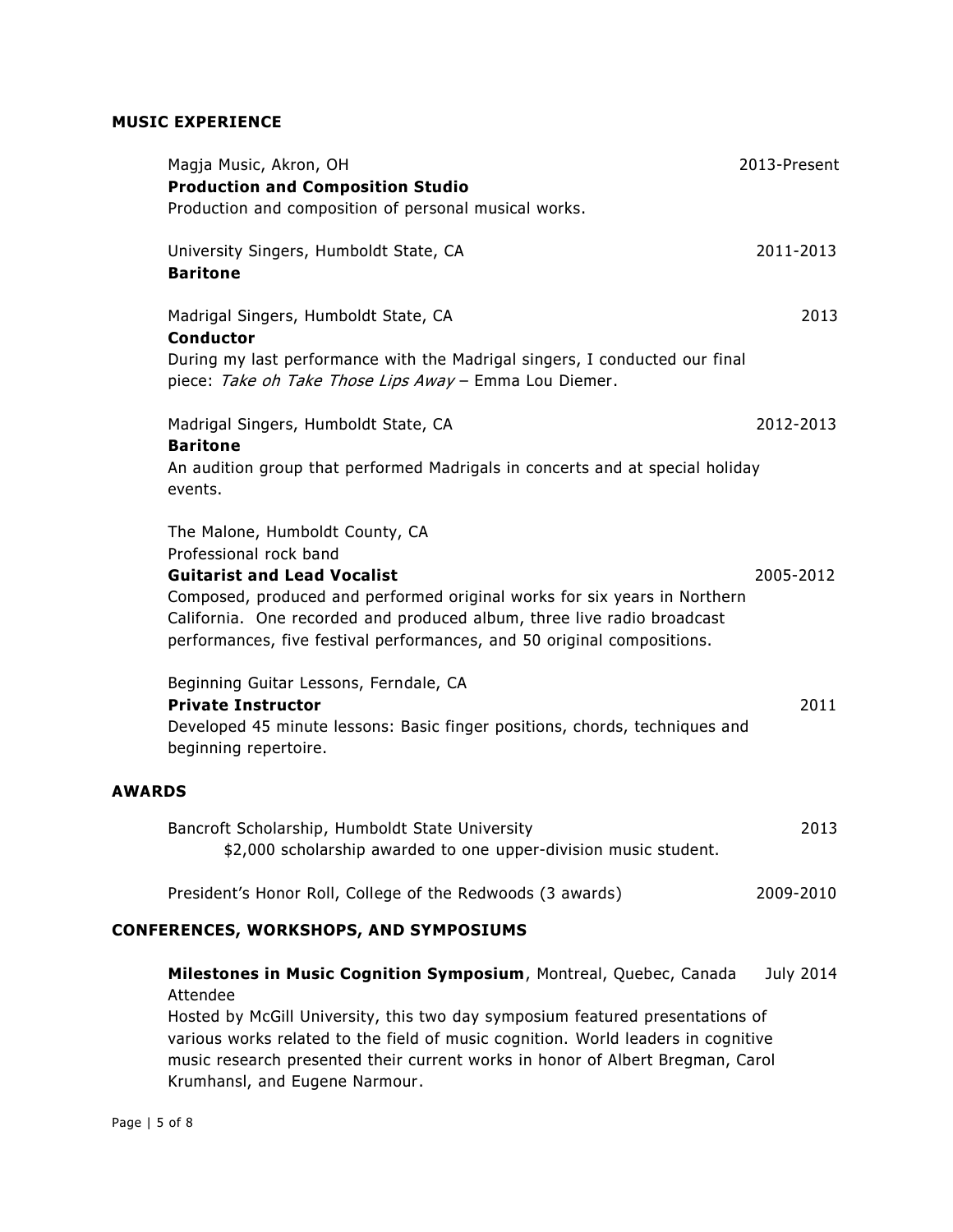# **MUSIC EXPERIENCE**

|               | Magja Music, Akron, OH<br><b>Production and Composition Studio</b>                                                                                                                                                                                                                                                                    | 2013-Present     |
|---------------|---------------------------------------------------------------------------------------------------------------------------------------------------------------------------------------------------------------------------------------------------------------------------------------------------------------------------------------|------------------|
|               | Production and composition of personal musical works.<br>University Singers, Humboldt State, CA<br><b>Baritone</b>                                                                                                                                                                                                                    | 2011-2013        |
|               | Madrigal Singers, Humboldt State, CA<br><b>Conductor</b>                                                                                                                                                                                                                                                                              | 2013             |
|               | During my last performance with the Madrigal singers, I conducted our final<br>piece: Take oh Take Those Lips Away - Emma Lou Diemer.                                                                                                                                                                                                 |                  |
|               | Madrigal Singers, Humboldt State, CA<br><b>Baritone</b>                                                                                                                                                                                                                                                                               | 2012-2013        |
|               | An audition group that performed Madrigals in concerts and at special holiday<br>events.                                                                                                                                                                                                                                              |                  |
|               | The Malone, Humboldt County, CA<br>Professional rock band<br><b>Guitarist and Lead Vocalist</b><br>Composed, produced and performed original works for six years in Northern<br>California. One recorded and produced album, three live radio broadcast<br>performances, five festival performances, and 50 original compositions.    | 2005-2012        |
|               | Beginning Guitar Lessons, Ferndale, CA<br><b>Private Instructor</b><br>Developed 45 minute lessons: Basic finger positions, chords, techniques and<br>beginning repertoire.                                                                                                                                                           | 2011             |
| <b>AWARDS</b> |                                                                                                                                                                                                                                                                                                                                       |                  |
|               | Bancroft Scholarship, Humboldt State University<br>\$2,000 scholarship awarded to one upper-division music student.                                                                                                                                                                                                                   | 2013             |
|               | President's Honor Roll, College of the Redwoods (3 awards)                                                                                                                                                                                                                                                                            | 2009-2010        |
|               | <b>CONFERENCES, WORKSHOPS, AND SYMPOSIUMS</b>                                                                                                                                                                                                                                                                                         |                  |
|               | Milestones in Music Cognition Symposium, Montreal, Quebec, Canada<br>Attendee<br>Hosted by McGill University, this two day symposium featured presentations of<br>various works related to the field of music cognition. World leaders in cognitive<br>music research presented their current works in honor of Albert Bregman, Carol | <b>July 2014</b> |

Krumhansl, and Eugene Narmour.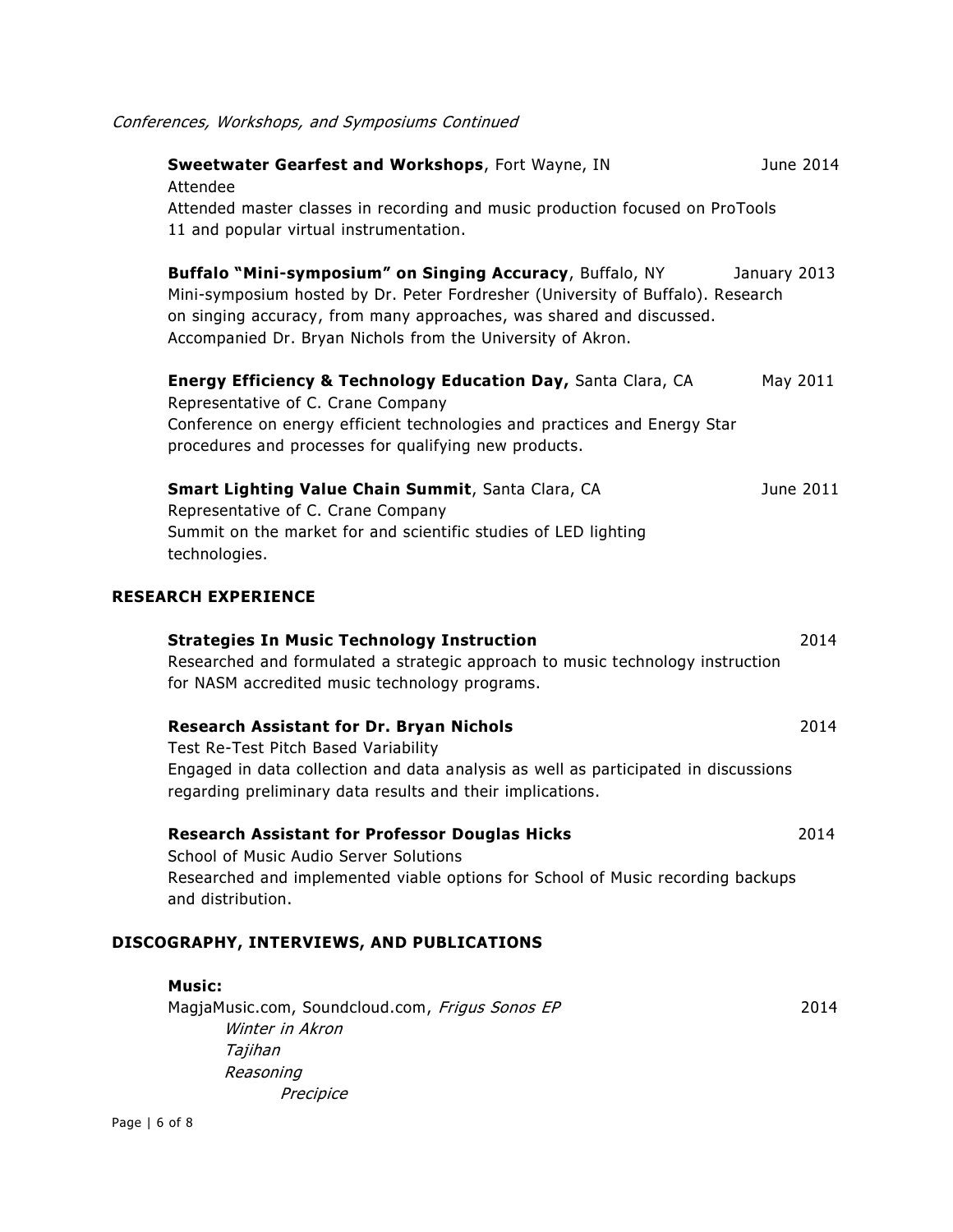| Conferences, Workshops, and Symposiums Continued |  |  |
|--------------------------------------------------|--|--|
|                                                  |  |  |

| Sweetwater Gearfest and Workshops, Fort Wayne, IN<br>Attendee                                                                                                                                                                                                                       | June 2014    |
|-------------------------------------------------------------------------------------------------------------------------------------------------------------------------------------------------------------------------------------------------------------------------------------|--------------|
| Attended master classes in recording and music production focused on ProTools<br>11 and popular virtual instrumentation.                                                                                                                                                            |              |
| Buffalo "Mini-symposium" on Singing Accuracy, Buffalo, NY<br>Mini-symposium hosted by Dr. Peter Fordresher (University of Buffalo). Research<br>on singing accuracy, from many approaches, was shared and discussed.<br>Accompanied Dr. Bryan Nichols from the University of Akron. | January 2013 |
| Energy Efficiency & Technology Education Day, Santa Clara, CA<br>Representative of C. Crane Company<br>Conference on energy efficient technologies and practices and Energy Star<br>procedures and processes for qualifying new products.                                           | May 2011     |
| <b>Smart Lighting Value Chain Summit, Santa Clara, CA</b><br>Representative of C. Crane Company<br>Summit on the market for and scientific studies of LED lighting<br>technologies.                                                                                                 | June 2011    |
| <b>RESEARCH EXPERIENCE</b>                                                                                                                                                                                                                                                          |              |
| <b>Strategies In Music Technology Instruction</b><br>Researched and formulated a strategic approach to music technology instruction<br>for NASM accredited music technology programs.                                                                                               | 2014         |
| <b>Research Assistant for Dr. Bryan Nichols</b><br>Test Re-Test Pitch Based Variability                                                                                                                                                                                             | 2014         |
| Engaged in data collection and data analysis as well as participated in discussions<br>regarding preliminary data results and their implications.                                                                                                                                   |              |
| <b>Research Assistant for Professor Douglas Hicks</b><br>School of Music Audio Server Solutions<br>Researched and implemented viable options for School of Music recording backups<br>and distribution.                                                                             | 2014         |
| DISCOGRAPHY, INTERVIEWS, AND PUBLICATIONS                                                                                                                                                                                                                                           |              |
| <b>Music:</b><br>MagjaMusic.com, Soundcloud.com, Frigus Sonos EP<br>Winter in Akron                                                                                                                                                                                                 | 2014         |
| Tajihan<br>Reasoning                                                                                                                                                                                                                                                                |              |

Precipice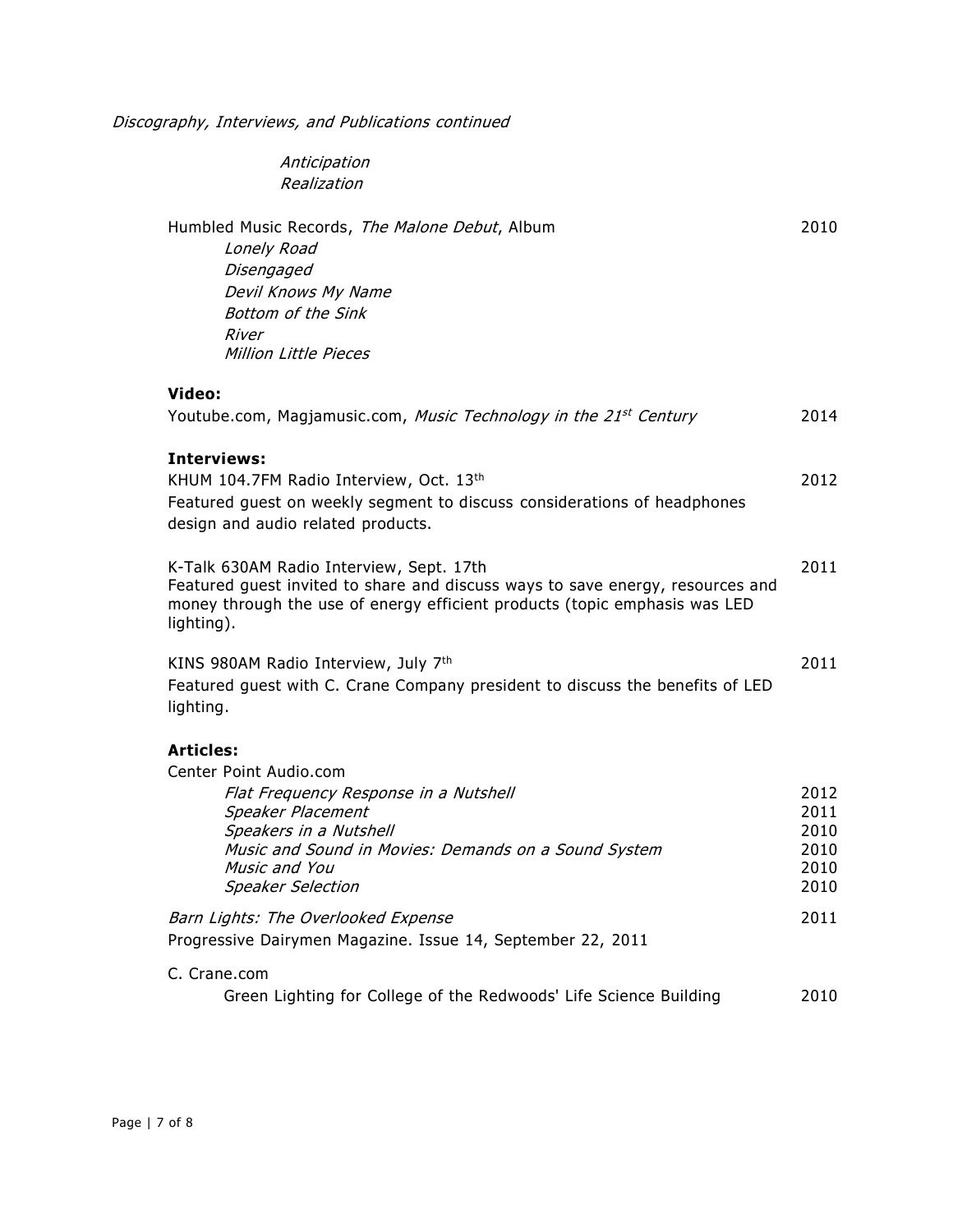Discography, Interviews, and Publications continued

Anticipation Realization

| Humbled Music Records, The Malone Debut, Album<br>Lonely Road<br>Disengaged<br>Devil Knows My Name<br><b>Bottom of the Sink</b><br>River<br>Million Little Pieces                                                                       | 2010                                         |
|-----------------------------------------------------------------------------------------------------------------------------------------------------------------------------------------------------------------------------------------|----------------------------------------------|
| Video:<br>Youtube.com, Magjamusic.com, Music Technology in the 21 <sup>st</sup> Century                                                                                                                                                 | 2014                                         |
| <b>Interviews:</b><br>KHUM 104.7FM Radio Interview, Oct. 13th<br>Featured guest on weekly segment to discuss considerations of headphones<br>design and audio related products.                                                         | 2012                                         |
| K-Talk 630AM Radio Interview, Sept. 17th<br>Featured guest invited to share and discuss ways to save energy, resources and<br>money through the use of energy efficient products (topic emphasis was LED<br>lighting).                  | 2011                                         |
| KINS 980AM Radio Interview, July 7th<br>Featured guest with C. Crane Company president to discuss the benefits of LED<br>lighting.                                                                                                      | 2011                                         |
| <b>Articles:</b><br>Center Point Audio.com<br>Flat Frequency Response in a Nutshell<br>Speaker Placement<br>Speakers in a Nutshell<br>Music and Sound in Movies: Demands on a Sound System<br>Music and You<br><b>Speaker Selection</b> | 2012<br>2011<br>2010<br>2010<br>2010<br>2010 |
| Barn Lights: The Overlooked Expense<br>Progressive Dairymen Magazine. Issue 14, September 22, 2011                                                                                                                                      | 2011                                         |
| C. Crane.com<br>Green Lighting for College of the Redwoods' Life Science Building                                                                                                                                                       | 2010                                         |